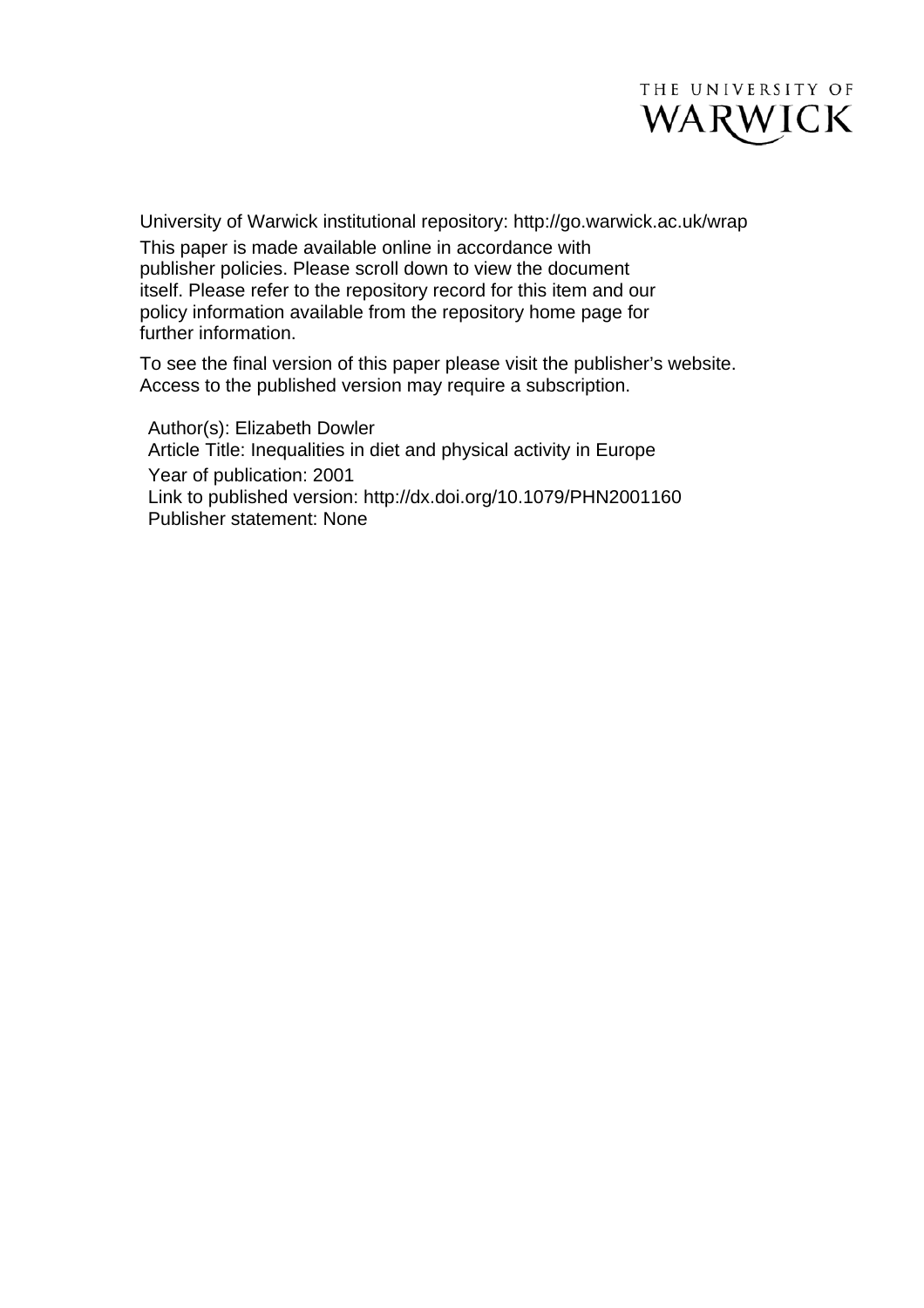

University of Warwick institutional repository: <http://go.warwick.ac.uk/wrap> This paper is made available online in accordance with publisher policies. Please scroll down to view the document itself. Please refer to the repository record for this item and our policy information available from the repository home page for further information.

To see the final version of this paper please visit the publisher's website. Access to the published version may require a subscription.

Author(s): Elizabeth Dowler Article Title: Inequalities in diet and physical activity in Europe Year of publication: 2001 Link to published version:<http://dx.doi.org/>10.1079/PHN2001160 Publisher statement: None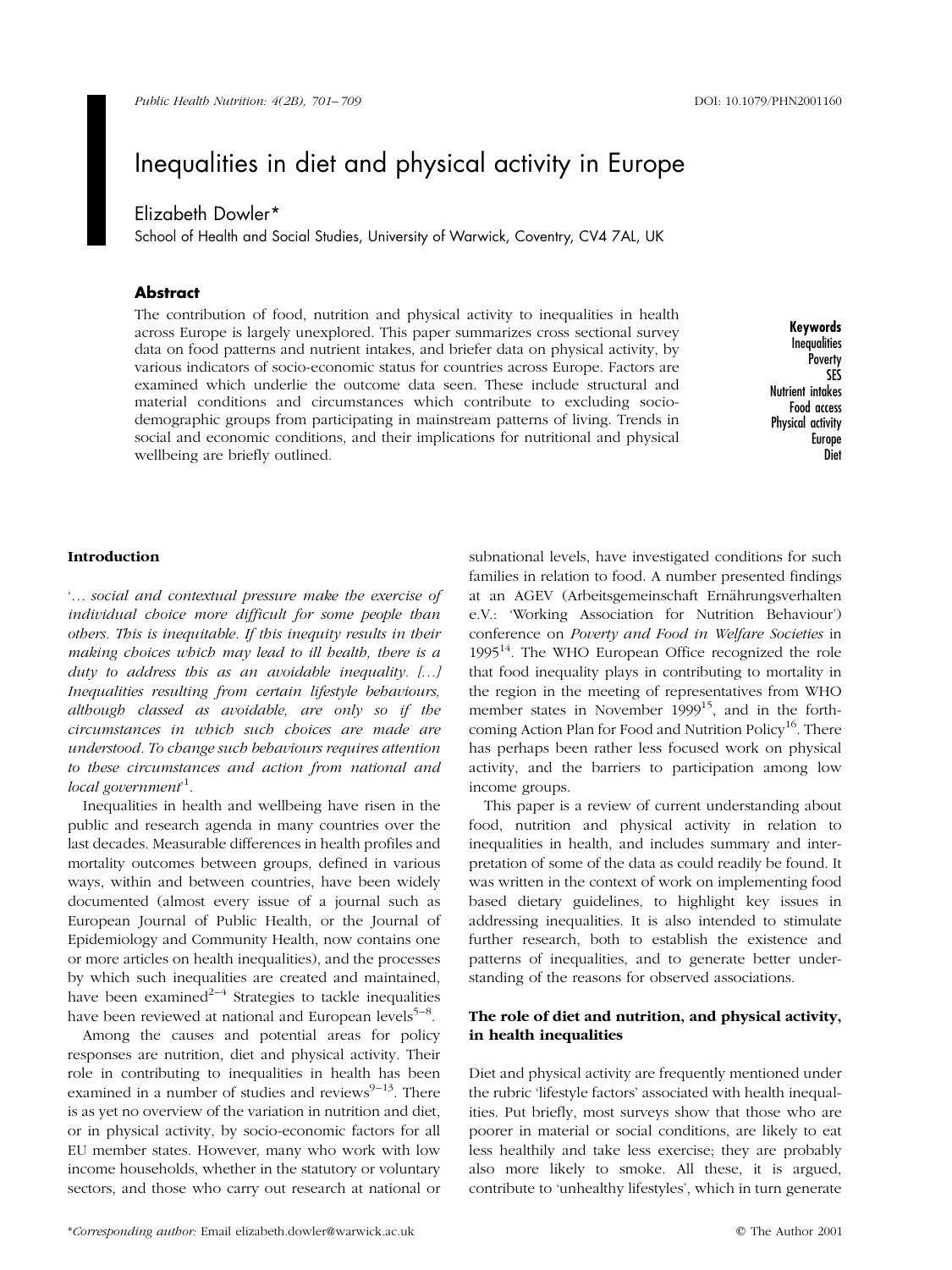# Inequalities in diet and physical activity in Europe

# Elizabeth Dowler\*

School of Health and Social Studies, University of Warwick, Coventry, CV4 7AL, UK

# Abstract

The contribution of food, nutrition and physical activity to inequalities in health across Europe is largely unexplored. This paper summarizes cross sectional survey data on food patterns and nutrient intakes, and briefer data on physical activity, by various indicators of socio-economic status for countries across Europe. Factors are examined which underlie the outcome data seen. These include structural and material conditions and circumstances which contribute to excluding sociodemographic groups from participating in mainstream patterns of living. Trends in social and economic conditions, and their implications for nutritional and physical wellbeing are briefly outlined.

Keywords **Inequalities Poverty** SES Nutrient intakes Food access Physical activity Europe Diet

#### Introduction

'... social and contextual pressure make the exercise of individual choice more difficult for some people than others. This is inequitable. If this inequity results in their making choices which may lead to ill health, there is a duty to address this as an avoidable inequality.  $[...]$ Inequalities resulting from certain lifestyle behaviours, although classed as avoidable, are only so if the circumstances in which such choices are made are understood. To change such behaviours requires attention to these circumstances and action from national and local government<sup>1</sup>.

Inequalities in health and wellbeing have risen in the public and research agenda in many countries over the last decades. Measurable differences in health profiles and mortality outcomes between groups, defined in various ways, within and between countries, have been widely documented (almost every issue of a journal such as European Journal of Public Health, or the Journal of Epidemiology and Community Health, now contains one or more articles on health inequalities), and the processes by which such inequalities are created and maintained, have been examined<sup>2-4</sup> Strategies to tackle inequalities have been reviewed at national and European levels $5-8$ .

Among the causes and potential areas for policy responses are nutrition, diet and physical activity. Their role in contributing to inequalities in health has been examined in a number of studies and reviews $9-13$ . There is as yet no overview of the variation in nutrition and diet, or in physical activity, by socio-economic factors for all EU member states. However, many who work with low income households, whether in the statutory or voluntary sectors, and those who carry out research at national or

subnational levels, have investigated conditions for such families in relation to food. A number presented findings at an AGEV (Arbeitsgemeinschaft Ernährungsverhalten e.V.: `Working Association for Nutrition Behaviour') conference on Poverty and Food in Welfare Societies in  $1995<sup>14</sup>$ . The WHO European Office recognized the role that food inequality plays in contributing to mortality in the region in the meeting of representatives from WHO member states in November 1999<sup>15</sup>, and in the forthcoming Action Plan for Food and Nutrition Policy<sup>16</sup>. There has perhaps been rather less focused work on physical activity, and the barriers to participation among low income groups.

This paper is a review of current understanding about food, nutrition and physical activity in relation to inequalities in health, and includes summary and interpretation of some of the data as could readily be found. It was written in the context of work on implementing food based dietary guidelines, to highlight key issues in addressing inequalities. It is also intended to stimulate further research, both to establish the existence and patterns of inequalities, and to generate better understanding of the reasons for observed associations.

## The role of diet and nutrition, and physical activity, in health inequalities

Diet and physical activity are frequently mentioned under the rubric 'lifestyle factors' associated with health inequalities. Put briefly, most surveys show that those who are poorer in material or social conditions, are likely to eat less healthily and take less exercise; they are probably also more likely to smoke. All these, it is argued, contribute to 'unhealthy lifestyles', which in turn generate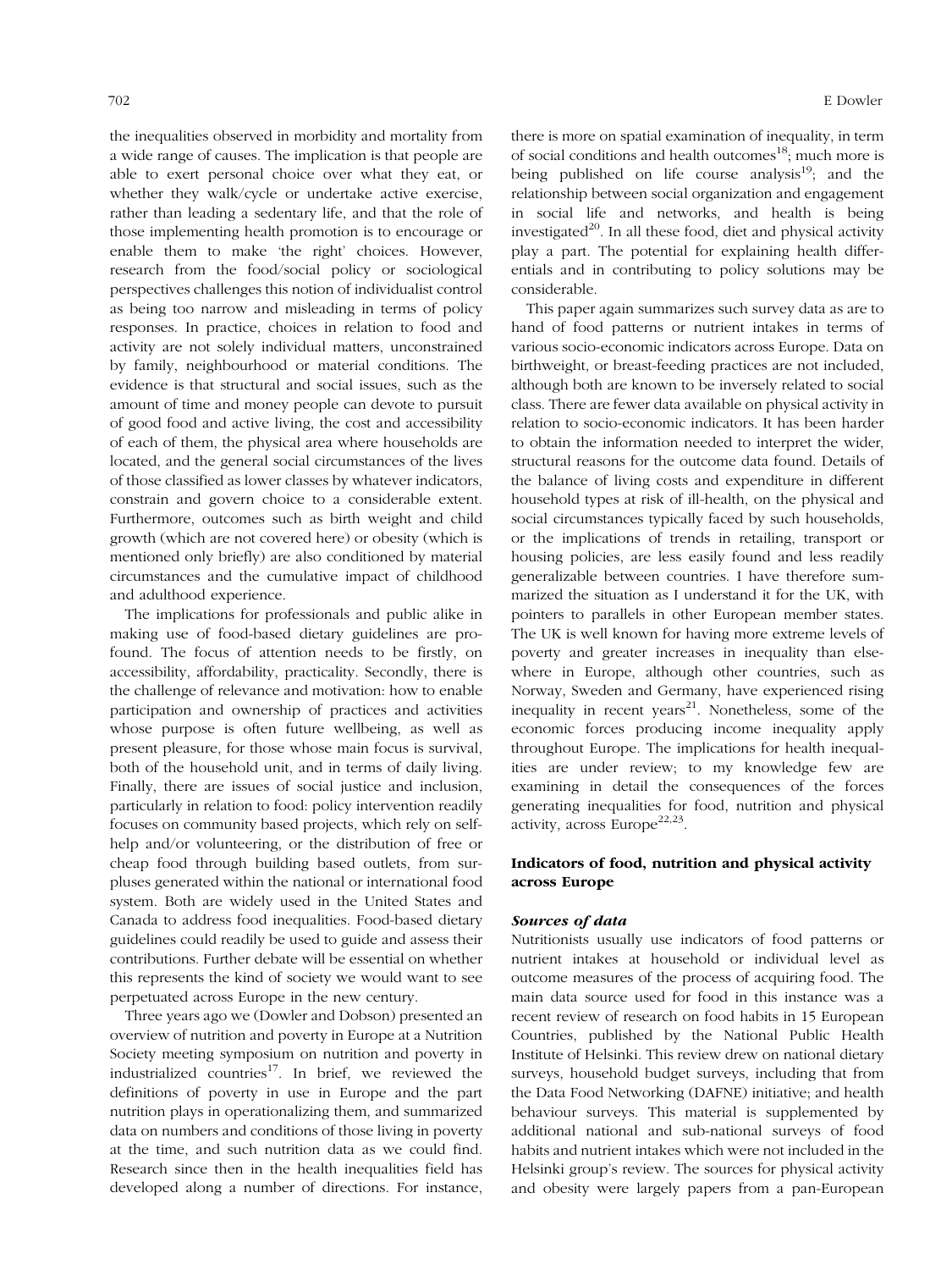the inequalities observed in morbidity and mortality from a wide range of causes. The implication is that people are able to exert personal choice over what they eat, or whether they walk/cycle or undertake active exercise, rather than leading a sedentary life, and that the role of those implementing health promotion is to encourage or enable them to make 'the right' choices. However, research from the food/social policy or sociological perspectives challenges this notion of individualist control as being too narrow and misleading in terms of policy responses. In practice, choices in relation to food and activity are not solely individual matters, unconstrained by family, neighbourhood or material conditions. The evidence is that structural and social issues, such as the amount of time and money people can devote to pursuit of good food and active living, the cost and accessibility of each of them, the physical area where households are located, and the general social circumstances of the lives of those classified as lower classes by whatever indicators, constrain and govern choice to a considerable extent. Furthermore, outcomes such as birth weight and child growth (which are not covered here) or obesity (which is mentioned only briefly) are also conditioned by material circumstances and the cumulative impact of childhood and adulthood experience.

The implications for professionals and public alike in making use of food-based dietary guidelines are profound. The focus of attention needs to be firstly, on accessibility, affordability, practicality. Secondly, there is the challenge of relevance and motivation: how to enable participation and ownership of practices and activities whose purpose is often future wellbeing, as well as present pleasure, for those whose main focus is survival, both of the household unit, and in terms of daily living. Finally, there are issues of social justice and inclusion, particularly in relation to food: policy intervention readily focuses on community based projects, which rely on selfhelp and/or volunteering, or the distribution of free or cheap food through building based outlets, from surpluses generated within the national or international food system. Both are widely used in the United States and Canada to address food inequalities. Food-based dietary guidelines could readily be used to guide and assess their contributions. Further debate will be essential on whether this represents the kind of society we would want to see perpetuated across Europe in the new century.

Three years ago we (Dowler and Dobson) presented an overview of nutrition and poverty in Europe at a Nutrition Society meeting symposium on nutrition and poverty in industrialized countries $17$ . In brief, we reviewed the definitions of poverty in use in Europe and the part nutrition plays in operationalizing them, and summarized data on numbers and conditions of those living in poverty at the time, and such nutrition data as we could find. Research since then in the health inequalities field has developed along a number of directions. For instance, there is more on spatial examination of inequality, in term of social conditions and health outcomes<sup>18</sup>; much more is being published on life course analysis<sup>19</sup>; and the relationship between social organization and engagement in social life and networks, and health is being investigated $^{20}$ . In all these food, diet and physical activity play a part. The potential for explaining health differentials and in contributing to policy solutions may be considerable.

This paper again summarizes such survey data as are to hand of food patterns or nutrient intakes in terms of various socio-economic indicators across Europe. Data on birthweight, or breast-feeding practices are not included, although both are known to be inversely related to social class. There are fewer data available on physical activity in relation to socio-economic indicators. It has been harder to obtain the information needed to interpret the wider, structural reasons for the outcome data found. Details of the balance of living costs and expenditure in different household types at risk of ill-health, on the physical and social circumstances typically faced by such households, or the implications of trends in retailing, transport or housing policies, are less easily found and less readily generalizable between countries. I have therefore summarized the situation as I understand it for the UK, with pointers to parallels in other European member states. The UK is well known for having more extreme levels of poverty and greater increases in inequality than elsewhere in Europe, although other countries, such as Norway, Sweden and Germany, have experienced rising inequality in recent years $^{21}$ . Nonetheless, some of the economic forces producing income inequality apply throughout Europe. The implications for health inequalities are under review; to my knowledge few are examining in detail the consequences of the forces generating inequalities for food, nutrition and physical activity, across Europe<sup>22,23</sup>.

## Indicators of food, nutrition and physical activity across Europe

#### Sources of data

Nutritionists usually use indicators of food patterns or nutrient intakes at household or individual level as outcome measures of the process of acquiring food. The main data source used for food in this instance was a recent review of research on food habits in 15 European Countries, published by the National Public Health Institute of Helsinki. This review drew on national dietary surveys, household budget surveys, including that from the Data Food Networking (DAFNE) initiative; and health behaviour surveys. This material is supplemented by additional national and sub-national surveys of food habits and nutrient intakes which were not included in the Helsinki group's review. The sources for physical activity and obesity were largely papers from a pan-European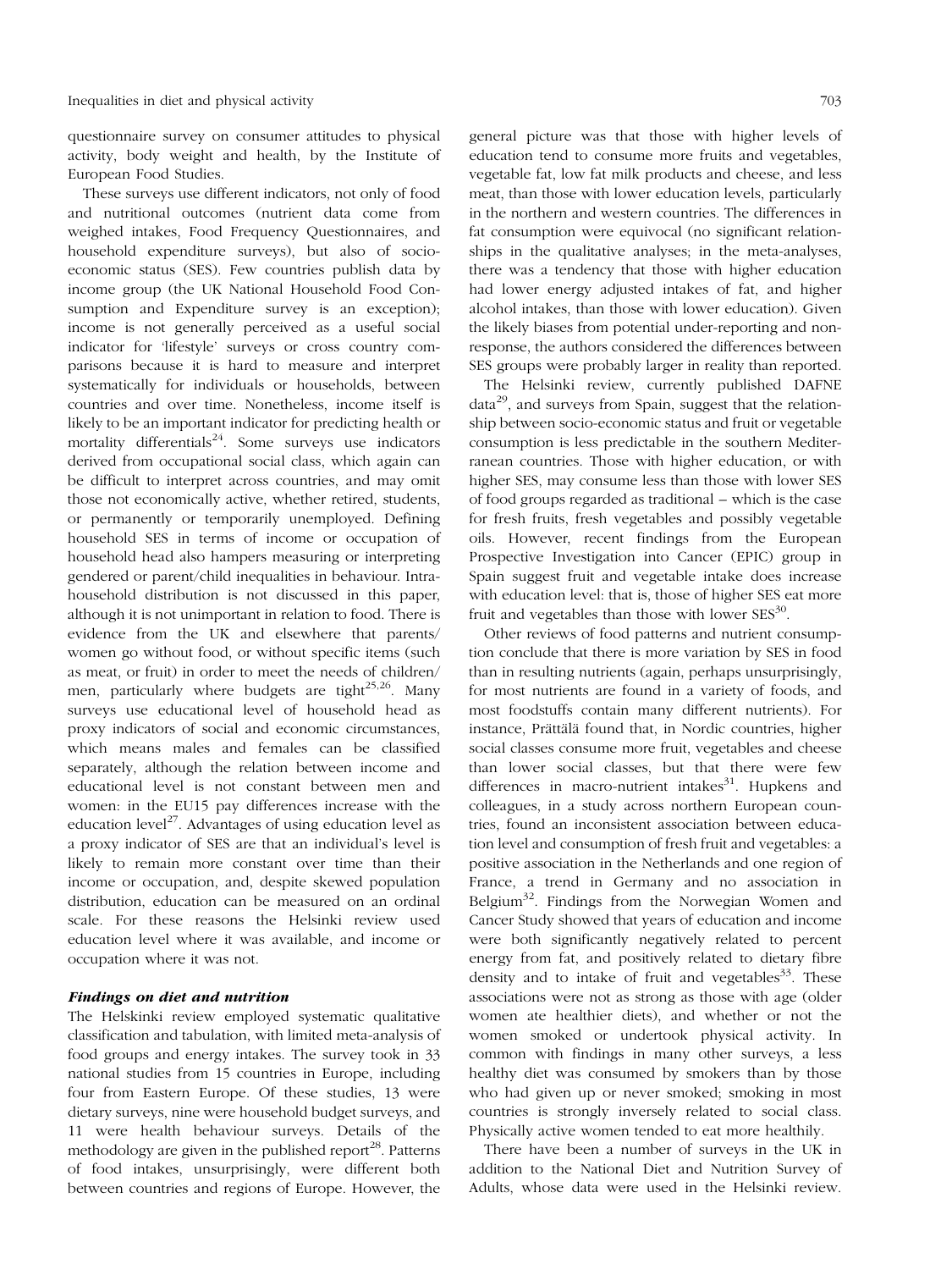questionnaire survey on consumer attitudes to physical activity, body weight and health, by the Institute of European Food Studies.

These surveys use different indicators, not only of food and nutritional outcomes (nutrient data come from weighed intakes, Food Frequency Questionnaires, and household expenditure surveys), but also of socioeconomic status (SES). Few countries publish data by income group (the UK National Household Food Consumption and Expenditure survey is an exception); income is not generally perceived as a useful social indicator for 'lifestyle' surveys or cross country comparisons because it is hard to measure and interpret systematically for individuals or households, between countries and over time. Nonetheless, income itself is likely to be an important indicator for predicting health or mortality differentials $24$ . Some surveys use indicators derived from occupational social class, which again can be difficult to interpret across countries, and may omit those not economically active, whether retired, students, or permanently or temporarily unemployed. Defining household SES in terms of income or occupation of household head also hampers measuring or interpreting gendered or parent/child inequalities in behaviour. Intrahousehold distribution is not discussed in this paper, although it is not unimportant in relation to food. There is evidence from the UK and elsewhere that parents/ women go without food, or without specific items (such as meat, or fruit) in order to meet the needs of children/ men, particularly where budgets are tight<sup>25,26</sup>. Many surveys use educational level of household head as proxy indicators of social and economic circumstances, which means males and females can be classified separately, although the relation between income and educational level is not constant between men and women: in the EU15 pay differences increase with the education level<sup>27</sup>. Advantages of using education level as a proxy indicator of SES are that an individual's level is likely to remain more constant over time than their income or occupation, and, despite skewed population distribution, education can be measured on an ordinal scale. For these reasons the Helsinki review used education level where it was available, and income or occupation where it was not.

### Findings on diet and nutrition

The Helskinki review employed systematic qualitative classification and tabulation, with limited meta-analysis of food groups and energy intakes. The survey took in 33 national studies from 15 countries in Europe, including four from Eastern Europe. Of these studies, 13 were dietary surveys, nine were household budget surveys, and 11 were health behaviour surveys. Details of the methodology are given in the published report<sup>28</sup>. Patterns of food intakes, unsurprisingly, were different both between countries and regions of Europe. However, the

general picture was that those with higher levels of education tend to consume more fruits and vegetables, vegetable fat, low fat milk products and cheese, and less meat, than those with lower education levels, particularly in the northern and western countries. The differences in fat consumption were equivocal (no significant relationships in the qualitative analyses; in the meta-analyses, there was a tendency that those with higher education had lower energy adjusted intakes of fat, and higher alcohol intakes, than those with lower education). Given the likely biases from potential under-reporting and nonresponse, the authors considered the differences between SES groups were probably larger in reality than reported.

The Helsinki review, currently published DAFNE  $data^{29}$ , and surveys from Spain, suggest that the relationship between socio-economic status and fruit or vegetable consumption is less predictable in the southern Mediterranean countries. Those with higher education, or with higher SES, may consume less than those with lower SES of food groups regarded as traditional – which is the case for fresh fruits, fresh vegetables and possibly vegetable oils. However, recent findings from the European Prospective Investigation into Cancer (EPIC) group in Spain suggest fruit and vegetable intake does increase with education level: that is, those of higher SES eat more fruit and vegetables than those with lower  $SES^{30}$ .

Other reviews of food patterns and nutrient consumption conclude that there is more variation by SES in food than in resulting nutrients (again, perhaps unsurprisingly, for most nutrients are found in a variety of foods, and most foodstuffs contain many different nutrients). For instance, Prättälä found that, in Nordic countries, higher social classes consume more fruit, vegetables and cheese than lower social classes, but that there were few differences in macro-nutrient intakes $31$ . Hupkens and colleagues, in a study across northern European countries, found an inconsistent association between education level and consumption of fresh fruit and vegetables: a positive association in the Netherlands and one region of France, a trend in Germany and no association in Belgium<sup>32</sup>. Findings from the Norwegian Women and Cancer Study showed that years of education and income were both significantly negatively related to percent energy from fat, and positively related to dietary fibre density and to intake of fruit and vegetables  $33$ . These associations were not as strong as those with age (older women ate healthier diets), and whether or not the women smoked or undertook physical activity. In common with findings in many other surveys, a less healthy diet was consumed by smokers than by those who had given up or never smoked; smoking in most countries is strongly inversely related to social class. Physically active women tended to eat more healthily.

There have been a number of surveys in the UK in addition to the National Diet and Nutrition Survey of Adults, whose data were used in the Helsinki review.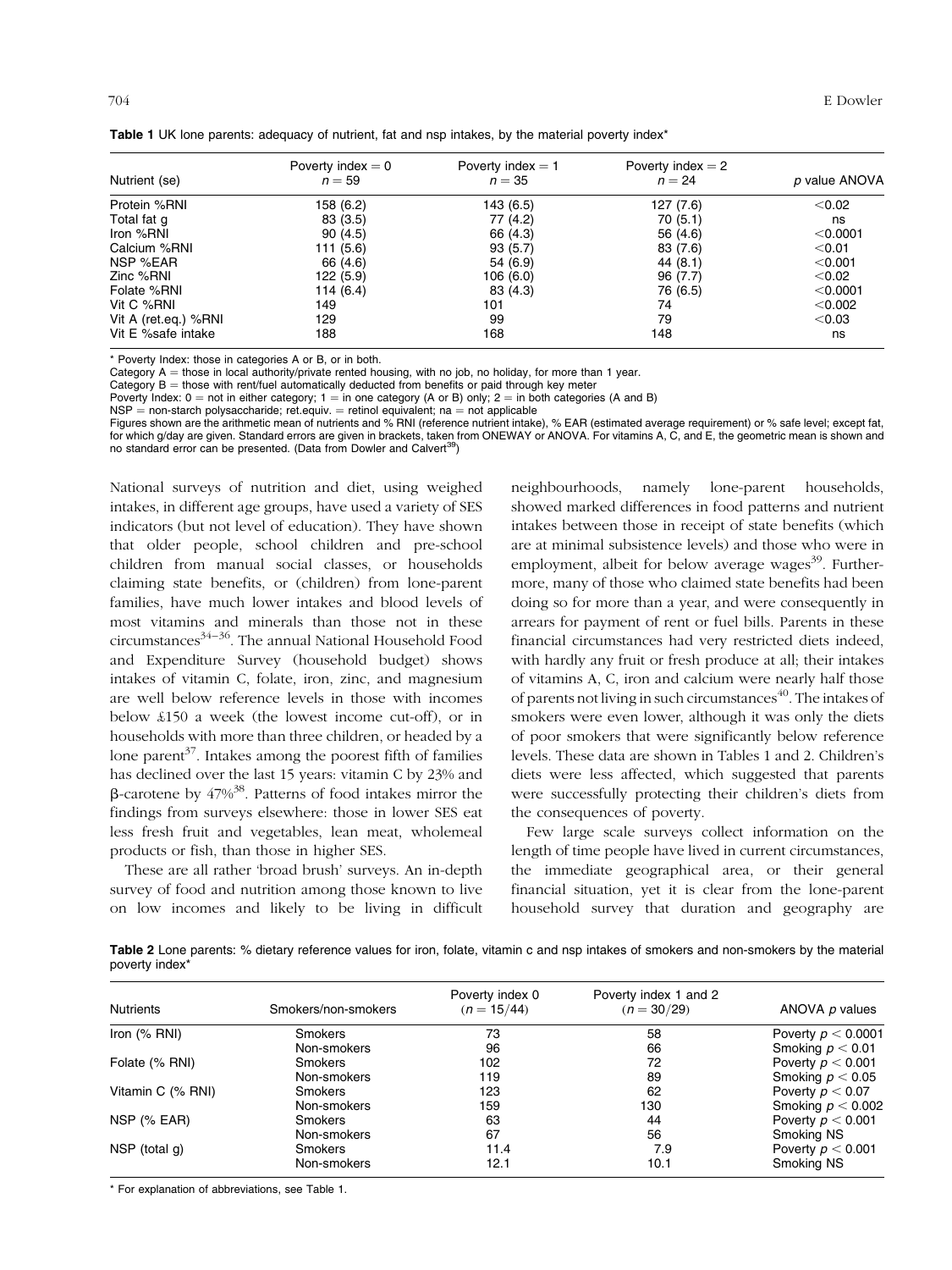| Nutrient (se)        | Poverty index $= 0$<br>$n = 59$ | Poverty index $= 1$<br>$n = 35$ | Poverty index $= 2$<br>$n = 24$ | p value ANOVA |
|----------------------|---------------------------------|---------------------------------|---------------------------------|---------------|
| Protein %RNI         | 158 (6.2)                       | 143 (6.5)                       | 127 (7.6)                       | < 0.02        |
| Total fat g          | 83 (3.5)                        | 77 (4.2)                        | 70(5.1)                         | ns            |
| Iron %RNI            | 90(4.5)                         | 66 (4.3)                        | 56 (4.6)                        | < 0.0001      |
| Calcium %RNI         | 111(5.6)                        | 93(5.7)                         | 83 (7.6)                        | < 0.01        |
| NSP %EAR             | 66 (4.6)                        | 54 (6.9)                        | 44 (8.1)                        | $<$ 0.001     |
| Zinc %RNI            | 122 (5.9)                       | 106 (6.0)                       | 96 (7.7)                        | $<$ 0.02      |
| Folate %RNI          | 114 $(6.4)$                     | 83 (4.3)                        | 76 (6.5)                        | < 0.0001      |
| Vit C %RNI           | 149                             | 101                             | 74                              | $<$ 0.002     |
| Vit A (ret.eq.) %RNI | 129                             | 99                              | 79                              | < 0.03        |
| Vit E %safe intake   | 188                             | 168                             | 148                             | ns            |

Table 1 UK lone parents: adequacy of nutrient, fat and nsp intakes, by the material poverty index<sup>\*</sup>

\* Poverty Index: those in categories A or B, or in both.

Category  $A =$  those in local authority/private rented housing, with no job, no holiday, for more than 1 year.

Category  $B =$  those with rent/fuel automatically deducted from benefits or paid through key meter

Poverty Index:  $0 =$  not in either category;  $1 =$  in one category (A or B) only;  $2 =$  in both categories (A and B)

 $NSP =$  non-starch polysaccharide; ret.equiv.  $=$  retinol equivalent; na  $=$  not applicable

Figures shown are the arithmetic mean of nutrients and % RNI (reference nutrient intake), % EAR (estimated average requirement) or % safe level; except fat, for which g/day are given. Standard errors are given in brackets, taken from ONEWAY or ANOVA. For vitamins A, C, and E, the geometric mean is shown and no standard error can be presented. (Data from Dowler and Calvert<sup>39</sup>)

National surveys of nutrition and diet, using weighed intakes, in different age groups, have used a variety of SES indicators (but not level of education). They have shown that older people, school children and pre-school children from manual social classes, or households claiming state benefits, or (children) from lone-parent families, have much lower intakes and blood levels of most vitamins and minerals than those not in these circumstances $34-36$ . The annual National Household Food and Expenditure Survey (household budget) shows intakes of vitamin C, folate, iron, zinc, and magnesium are well below reference levels in those with incomes below £150 a week (the lowest income cut-off), or in households with more than three children, or headed by a lone parent<sup>37</sup>. Intakes among the poorest fifth of families has declined over the last 15 years: vitamin C by 23% and  $\beta$ -carotene by  $47\%$ <sup>38</sup>. Patterns of food intakes mirror the findings from surveys elsewhere: those in lower SES eat less fresh fruit and vegetables, lean meat, wholemeal products or fish, than those in higher SES.

These are all rather `broad brush' surveys. An in-depth survey of food and nutrition among those known to live on low incomes and likely to be living in difficult neighbourhoods, namely lone-parent households, showed marked differences in food patterns and nutrient intakes between those in receipt of state benefits (which are at minimal subsistence levels) and those who were in employment, albeit for below average wages<sup>39</sup>. Furthermore, many of those who claimed state benefits had been doing so for more than a year, and were consequently in arrears for payment of rent or fuel bills. Parents in these financial circumstances had very restricted diets indeed, with hardly any fruit or fresh produce at all; their intakes of vitamins A, C, iron and calcium were nearly half those of parents not living in such circumstances $^{40}$ . The intakes of smokers were even lower, although it was only the diets of poor smokers that were significantly below reference levels. These data are shown in Tables 1 and 2. Children's diets were less affected, which suggested that parents were successfully protecting their children's diets from the consequences of poverty.

Few large scale surveys collect information on the length of time people have lived in current circumstances, the immediate geographical area, or their general financial situation, yet it is clear from the lone-parent household survey that duration and geography are

Table 2 Lone parents: % dietary reference values for iron, folate, vitamin c and nsp intakes of smokers and non-smokers by the material poverty index\*

| <b>Nutrients</b>  | Smokers/non-smokers | Poverty index 0<br>$(n = 15/44)$ | Poverty index 1 and 2<br>$(n = 30/29)$ | ANOVA p values       |
|-------------------|---------------------|----------------------------------|----------------------------------------|----------------------|
| Iron $(%$ RNI)    | <b>Smokers</b>      | 73                               | 58                                     | Poverty $p < 0.0001$ |
|                   | Non-smokers         | 96                               | 66                                     | Smoking $p < 0.01$   |
| Folate (% RNI)    | <b>Smokers</b>      | 102                              | 72                                     | Poverty $p < 0.001$  |
|                   | Non-smokers         | 119                              | 89                                     | Smoking $p < 0.05$   |
| Vitamin C (% RNI) | Smokers             | 123                              | 62                                     | Poverty $p < 0.07$   |
|                   | Non-smokers         | 159                              | 130                                    | Smoking $p < 0.002$  |
| $NSP$ (% EAR)     | <b>Smokers</b>      | 63                               | 44                                     | Poverty $p < 0.001$  |
|                   | Non-smokers         | 67                               | 56                                     | Smoking NS           |
| NSP (total $q$ )  | Smokers             | 11.4                             | 7.9                                    | Poverty $p < 0.001$  |
|                   | Non-smokers         | 12.1                             | 10.1                                   | Smoking NS           |

\* For explanation of abbreviations, see Table 1.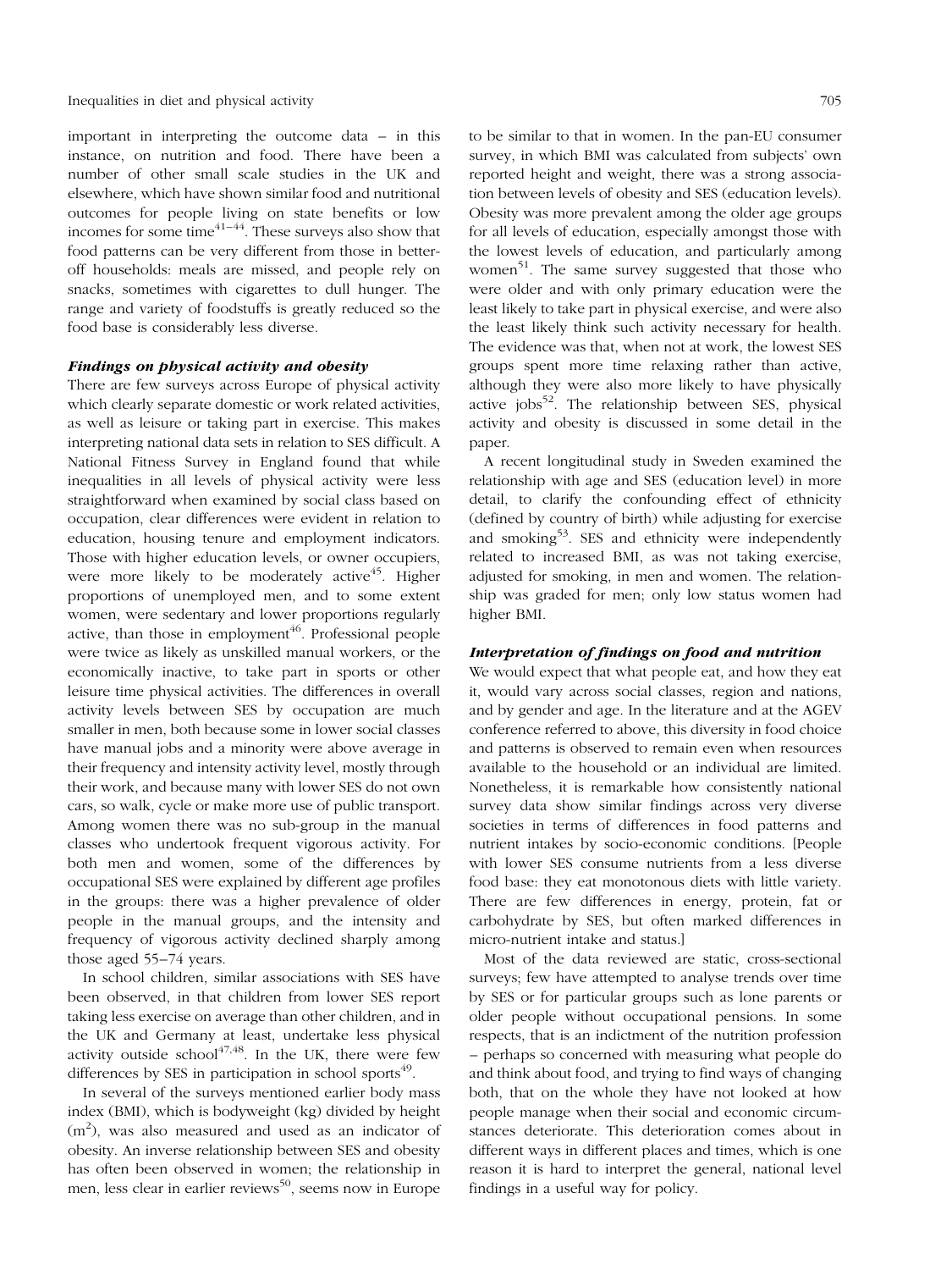important in interpreting the outcome data  $-\text{ in this}$ instance, on nutrition and food. There have been a number of other small scale studies in the UK and elsewhere, which have shown similar food and nutritional outcomes for people living on state benefits or low incomes for some time $41-44$ . These surveys also show that food patterns can be very different from those in betteroff households: meals are missed, and people rely on snacks, sometimes with cigarettes to dull hunger. The range and variety of foodstuffs is greatly reduced so the food base is considerably less diverse.

#### Findings on physical activity and obesity

There are few surveys across Europe of physical activity which clearly separate domestic or work related activities, as well as leisure or taking part in exercise. This makes interpreting national data sets in relation to SES difficult. A National Fitness Survey in England found that while inequalities in all levels of physical activity were less straightforward when examined by social class based on occupation, clear differences were evident in relation to education, housing tenure and employment indicators. Those with higher education levels, or owner occupiers, were more likely to be moderately active<sup>45</sup>. Higher proportions of unemployed men, and to some extent women, were sedentary and lower proportions regularly active, than those in employment<sup> $46$ </sup>. Professional people were twice as likely as unskilled manual workers, or the economically inactive, to take part in sports or other leisure time physical activities. The differences in overall activity levels between SES by occupation are much smaller in men, both because some in lower social classes have manual jobs and a minority were above average in their frequency and intensity activity level, mostly through their work, and because many with lower SES do not own cars, so walk, cycle or make more use of public transport. Among women there was no sub-group in the manual classes who undertook frequent vigorous activity. For both men and women, some of the differences by occupational SES were explained by different age profiles in the groups: there was a higher prevalence of older people in the manual groups, and the intensity and frequency of vigorous activity declined sharply among those aged 55–74 years.

In school children, similar associations with SES have been observed, in that children from lower SES report taking less exercise on average than other children, and in the UK and Germany at least, undertake less physical activity outside school $47,48$ . In the UK, there were few differences by SES in participation in school sports $49$ .

In several of the surveys mentioned earlier body mass index (BMI), which is bodyweight (kg) divided by height  $(m<sup>2</sup>)$ , was also measured and used as an indicator of obesity. An inverse relationship between SES and obesity has often been observed in women; the relationship in men, less clear in earlier reviews<sup>50</sup>, seems now in Europe to be similar to that in women. In the pan-EU consumer survey, in which BMI was calculated from subjects' own reported height and weight, there was a strong association between levels of obesity and SES (education levels). Obesity was more prevalent among the older age groups for all levels of education, especially amongst those with the lowest levels of education, and particularly among women<sup>51</sup>. The same survey suggested that those who were older and with only primary education were the least likely to take part in physical exercise, and were also the least likely think such activity necessary for health. The evidence was that, when not at work, the lowest SES groups spent more time relaxing rather than active, although they were also more likely to have physically active jobs<sup>52</sup>. The relationship between SES, physical activity and obesity is discussed in some detail in the paper.

A recent longitudinal study in Sweden examined the relationship with age and SES (education level) in more detail, to clarify the confounding effect of ethnicity (defined by country of birth) while adjusting for exercise and smoking<sup>53</sup>. SES and ethnicity were independently related to increased BMI, as was not taking exercise, adjusted for smoking, in men and women. The relationship was graded for men; only low status women had higher BMI.

#### Interpretation of findings on food and nutrition

We would expect that what people eat, and how they eat it, would vary across social classes, region and nations, and by gender and age. In the literature and at the AGEV conference referred to above, this diversity in food choice and patterns is observed to remain even when resources available to the household or an individual are limited. Nonetheless, it is remarkable how consistently national survey data show similar findings across very diverse societies in terms of differences in food patterns and nutrient intakes by socio-economic conditions. [People with lower SES consume nutrients from a less diverse food base: they eat monotonous diets with little variety. There are few differences in energy, protein, fat or carbohydrate by SES, but often marked differences in micro-nutrient intake and status.]

Most of the data reviewed are static, cross-sectional surveys; few have attempted to analyse trends over time by SES or for particular groups such as lone parents or older people without occupational pensions. In some respects, that is an indictment of the nutrition profession ± perhaps so concerned with measuring what people do and think about food, and trying to find ways of changing both, that on the whole they have not looked at how people manage when their social and economic circumstances deteriorate. This deterioration comes about in different ways in different places and times, which is one reason it is hard to interpret the general, national level findings in a useful way for policy.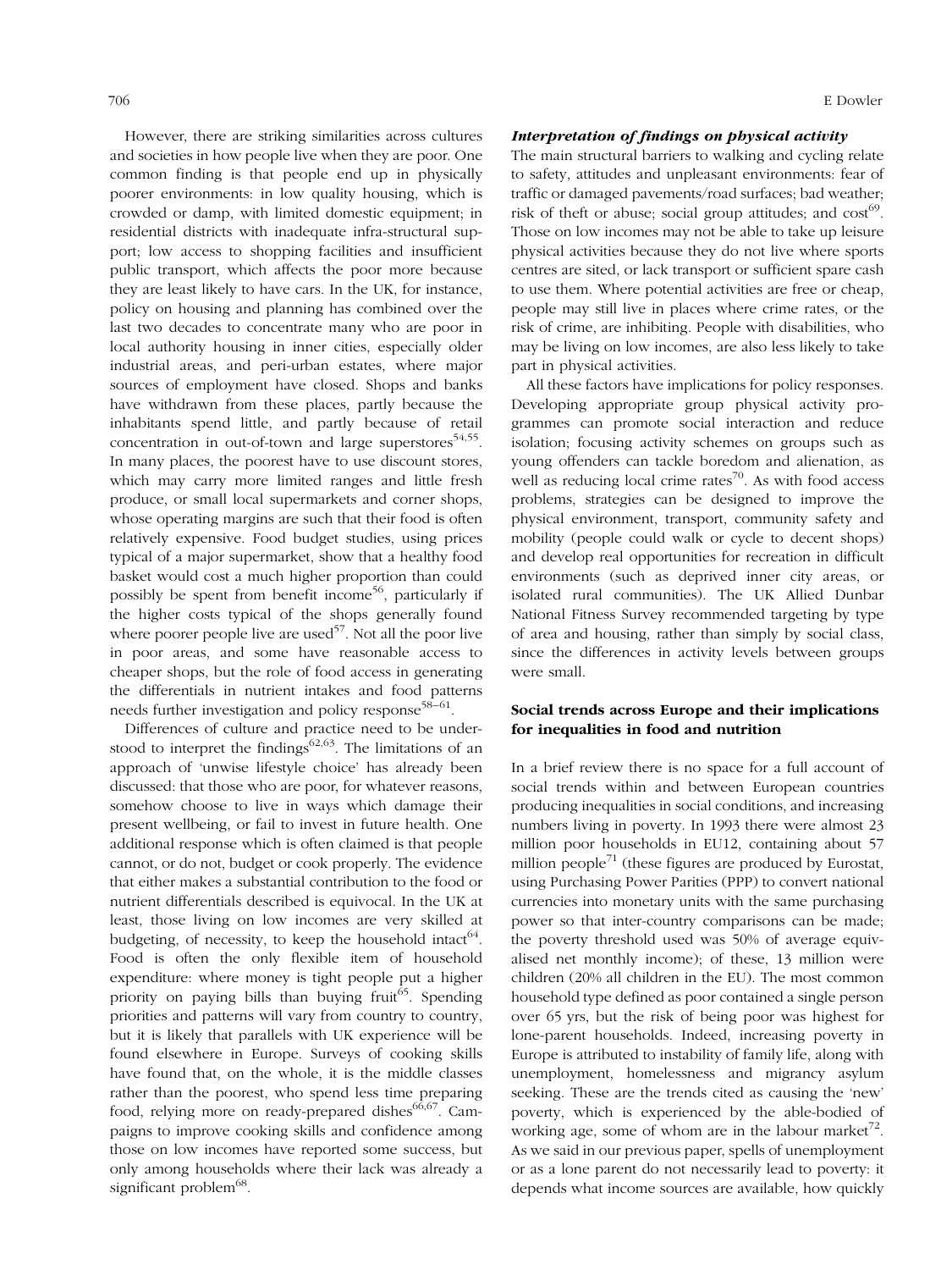However, there are striking similarities across cultures and societies in how people live when they are poor. One common finding is that people end up in physically poorer environments: in low quality housing, which is crowded or damp, with limited domestic equipment; in residential districts with inadequate infra-structural support; low access to shopping facilities and insufficient public transport, which affects the poor more because they are least likely to have cars. In the UK, for instance, policy on housing and planning has combined over the last two decades to concentrate many who are poor in local authority housing in inner cities, especially older industrial areas, and peri-urban estates, where major sources of employment have closed. Shops and banks have withdrawn from these places, partly because the inhabitants spend little, and partly because of retail concentration in out-of-town and large superstores $54,55$ . In many places, the poorest have to use discount stores, which may carry more limited ranges and little fresh produce, or small local supermarkets and corner shops, whose operating margins are such that their food is often relatively expensive. Food budget studies, using prices typical of a major supermarket, show that a healthy food basket would cost a much higher proportion than could possibly be spent from benefit income<sup>56</sup>, particularly if the higher costs typical of the shops generally found where poorer people live are used $57$ . Not all the poor live in poor areas, and some have reasonable access to cheaper shops, but the role of food access in generating the differentials in nutrient intakes and food patterns needs further investigation and policy response<sup>58-61</sup>.

Differences of culture and practice need to be understood to interpret the findings<sup>62,63</sup>. The limitations of an approach of `unwise lifestyle choice' has already been discussed: that those who are poor, for whatever reasons, somehow choose to live in ways which damage their present wellbeing, or fail to invest in future health. One additional response which is often claimed is that people cannot, or do not, budget or cook properly. The evidence that either makes a substantial contribution to the food or nutrient differentials described is equivocal. In the UK at least, those living on low incomes are very skilled at budgeting, of necessity, to keep the household intact<sup>64</sup>. Food is often the only flexible item of household expenditure: where money is tight people put a higher priority on paying bills than buying fruit<sup>65</sup>. Spending priorities and patterns will vary from country to country, but it is likely that parallels with UK experience will be found elsewhere in Europe. Surveys of cooking skills have found that, on the whole, it is the middle classes rather than the poorest, who spend less time preparing food, relying more on ready-prepared dishes<sup>66,67</sup>. Campaigns to improve cooking skills and confidence among those on low incomes have reported some success, but only among households where their lack was already a significant problem<sup>68</sup>.

## Interpretation of findings on physical activity

The main structural barriers to walking and cycling relate to safety, attitudes and unpleasant environments: fear of traffic or damaged pavements/road surfaces; bad weather; risk of theft or abuse; social group attitudes; and  $cost^{69}$ . Those on low incomes may not be able to take up leisure physical activities because they do not live where sports centres are sited, or lack transport or sufficient spare cash to use them. Where potential activities are free or cheap, people may still live in places where crime rates, or the risk of crime, are inhibiting. People with disabilities, who may be living on low incomes, are also less likely to take part in physical activities.

All these factors have implications for policy responses. Developing appropriate group physical activity programmes can promote social interaction and reduce isolation; focusing activity schemes on groups such as young offenders can tackle boredom and alienation, as well as reducing local crime rates $\frac{70}{10}$ . As with food access problems, strategies can be designed to improve the physical environment, transport, community safety and mobility (people could walk or cycle to decent shops) and develop real opportunities for recreation in difficult environments (such as deprived inner city areas, or isolated rural communities). The UK Allied Dunbar National Fitness Survey recommended targeting by type of area and housing, rather than simply by social class, since the differences in activity levels between groups were small.

## Social trends across Europe and their implications for inequalities in food and nutrition

In a brief review there is no space for a full account of social trends within and between European countries producing inequalities in social conditions, and increasing numbers living in poverty. In 1993 there were almost 23 million poor households in EU12, containing about 57 million people<sup>71</sup> (these figures are produced by Eurostat, using Purchasing Power Parities (PPP) to convert national currencies into monetary units with the same purchasing power so that inter-country comparisons can be made; the poverty threshold used was 50% of average equivalised net monthly income); of these, 13 million were children (20% all children in the EU). The most common household type defined as poor contained a single person over 65 yrs, but the risk of being poor was highest for lone-parent households. Indeed, increasing poverty in Europe is attributed to instability of family life, along with unemployment, homelessness and migrancy asylum seeking. These are the trends cited as causing the 'new' poverty, which is experienced by the able-bodied of working age, some of whom are in the labour market<sup>72</sup>. As we said in our previous paper, spells of unemployment or as a lone parent do not necessarily lead to poverty: it depends what income sources are available, how quickly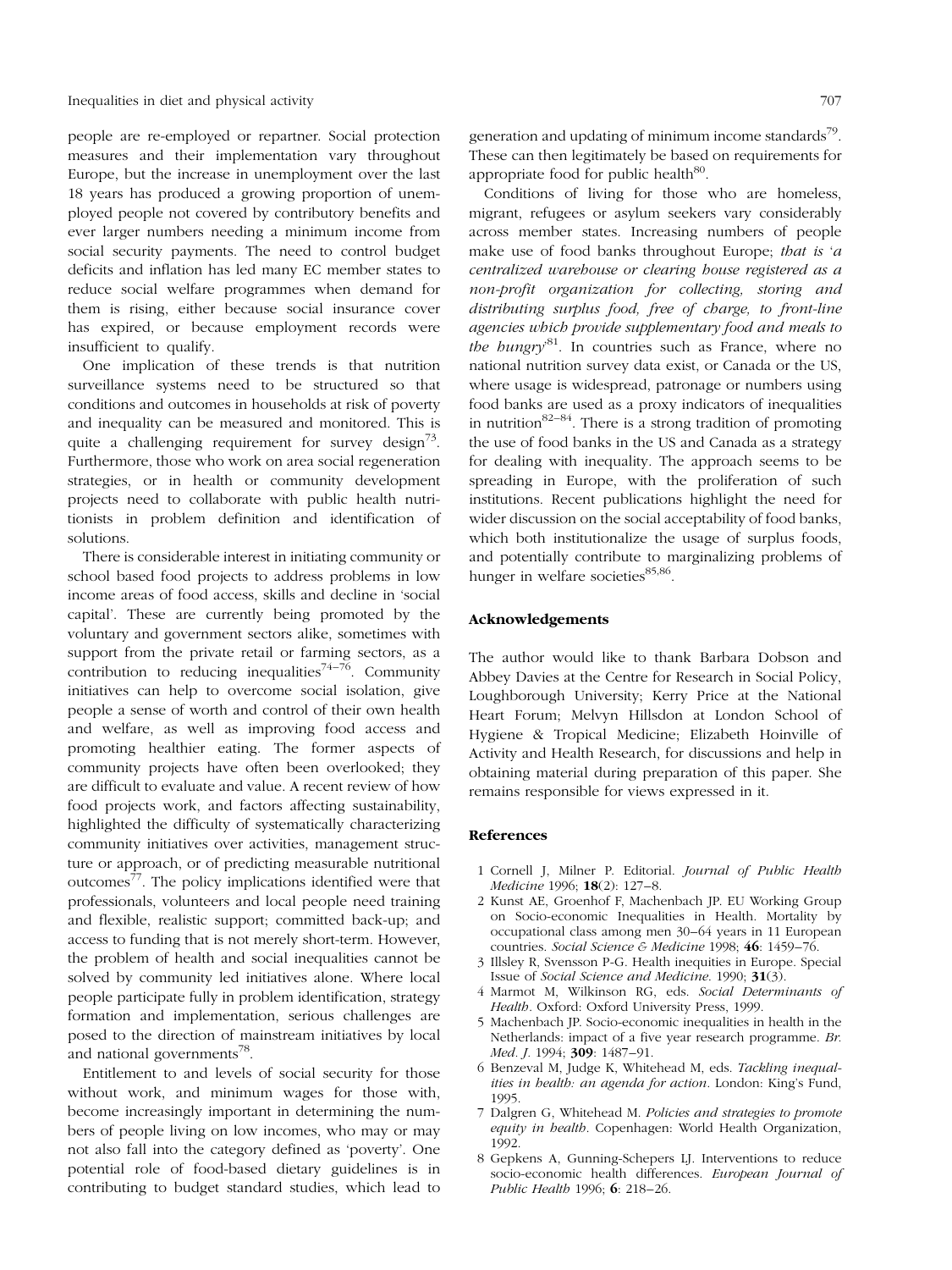people are re-employed or repartner. Social protection measures and their implementation vary throughout Europe, but the increase in unemployment over the last 18 years has produced a growing proportion of unemployed people not covered by contributory benefits and ever larger numbers needing a minimum income from social security payments. The need to control budget deficits and inflation has led many EC member states to reduce social welfare programmes when demand for them is rising, either because social insurance cover has expired, or because employment records were insufficient to qualify.

One implication of these trends is that nutrition surveillance systems need to be structured so that conditions and outcomes in households at risk of poverty and inequality can be measured and monitored. This is quite a challenging requirement for survey design<sup>73</sup>. Furthermore, those who work on area social regeneration strategies, or in health or community development projects need to collaborate with public health nutritionists in problem definition and identification of solutions.

There is considerable interest in initiating community or school based food projects to address problems in low income areas of food access, skills and decline in `social capital'. These are currently being promoted by the voluntary and government sectors alike, sometimes with support from the private retail or farming sectors, as a contribution to reducing inequalities<sup>74-76</sup>. Community initiatives can help to overcome social isolation, give people a sense of worth and control of their own health and welfare, as well as improving food access and promoting healthier eating. The former aspects of community projects have often been overlooked; they are difficult to evaluate and value. A recent review of how food projects work, and factors affecting sustainability, highlighted the difficulty of systematically characterizing community initiatives over activities, management structure or approach, or of predicting measurable nutritional outcomes<sup>77</sup>. The policy implications identified were that professionals, volunteers and local people need training and flexible, realistic support; committed back-up; and access to funding that is not merely short-term. However, the problem of health and social inequalities cannot be solved by community led initiatives alone. Where local people participate fully in problem identification, strategy formation and implementation, serious challenges are posed to the direction of mainstream initiatives by local and national governments<sup>78</sup>.

Entitlement to and levels of social security for those without work, and minimum wages for those with, become increasingly important in determining the numbers of people living on low incomes, who may or may not also fall into the category defined as 'poverty'. One potential role of food-based dietary guidelines is in contributing to budget standard studies, which lead to generation and updating of minimum income standards<sup>79</sup>. These can then legitimately be based on requirements for appropriate food for public health $^{80}$ .

Conditions of living for those who are homeless, migrant, refugees or asylum seekers vary considerably across member states. Increasing numbers of people make use of food banks throughout Europe; that is 'a centralized warehouse or clearing house registered as a non-profit organization for collecting, storing and distributing surplus food, free of charge, to front-line agencies which provide supplementary food and meals to the hungry<sup>81</sup>. In countries such as France, where no national nutrition survey data exist, or Canada or the US, where usage is widespread, patronage or numbers using food banks are used as a proxy indicators of inequalities in nutrition<sup>82 $-84$ </sup>. There is a strong tradition of promoting the use of food banks in the US and Canada as a strategy for dealing with inequality. The approach seems to be spreading in Europe, with the proliferation of such institutions. Recent publications highlight the need for wider discussion on the social acceptability of food banks, which both institutionalize the usage of surplus foods, and potentially contribute to marginalizing problems of hunger in welfare societies<sup>85,86</sup>.

#### Acknowledgements

The author would like to thank Barbara Dobson and Abbey Davies at the Centre for Research in Social Policy, Loughborough University; Kerry Price at the National Heart Forum; Melvyn Hillsdon at London School of Hygiene & Tropical Medicine; Elizabeth Hoinville of Activity and Health Research, for discussions and help in obtaining material during preparation of this paper. She remains responsible for views expressed in it.

## References

- 1 Cornell J, Milner P. Editorial. Journal of Public Health Medicine 1996: 18(2): 127-8.
- 2 Kunst AE, Groenhof F, Machenbach JP. EU Working Group on Socio-economic Inequalities in Health. Mortality by occupational class among men 30–64 years in 11 European countries. Social Science & Medicine 1998;  $46: 1459-76$ .
- 3 Illsley R, Svensson P-G. Health inequities in Europe. Special Issue of Social Science and Medicine. 1990; 31(3).
- 4 Marmot M, Wilkinson RG, eds. Social Determinants of Health. Oxford: Oxford University Press, 1999.
- 5 Machenbach JP. Socio-economic inequalities in health in the Netherlands: impact of a five year research programme. Br. Med. J. 1994; 309: 1487-91.
- 6 Benzeval M, Judge K, Whitehead M, eds. Tackling inequalities in health: an agenda for action. London: King's Fund, 1995.
- 7 Dalgren G, Whitehead M. Policies and strategies to promote equity in health. Copenhagen: World Health Organization, 1992.
- 8 Gepkens A, Gunning-Schepers LJ. Interventions to reduce socio-economic health differences. European Journal of Public Health 1996; 6: 218-26.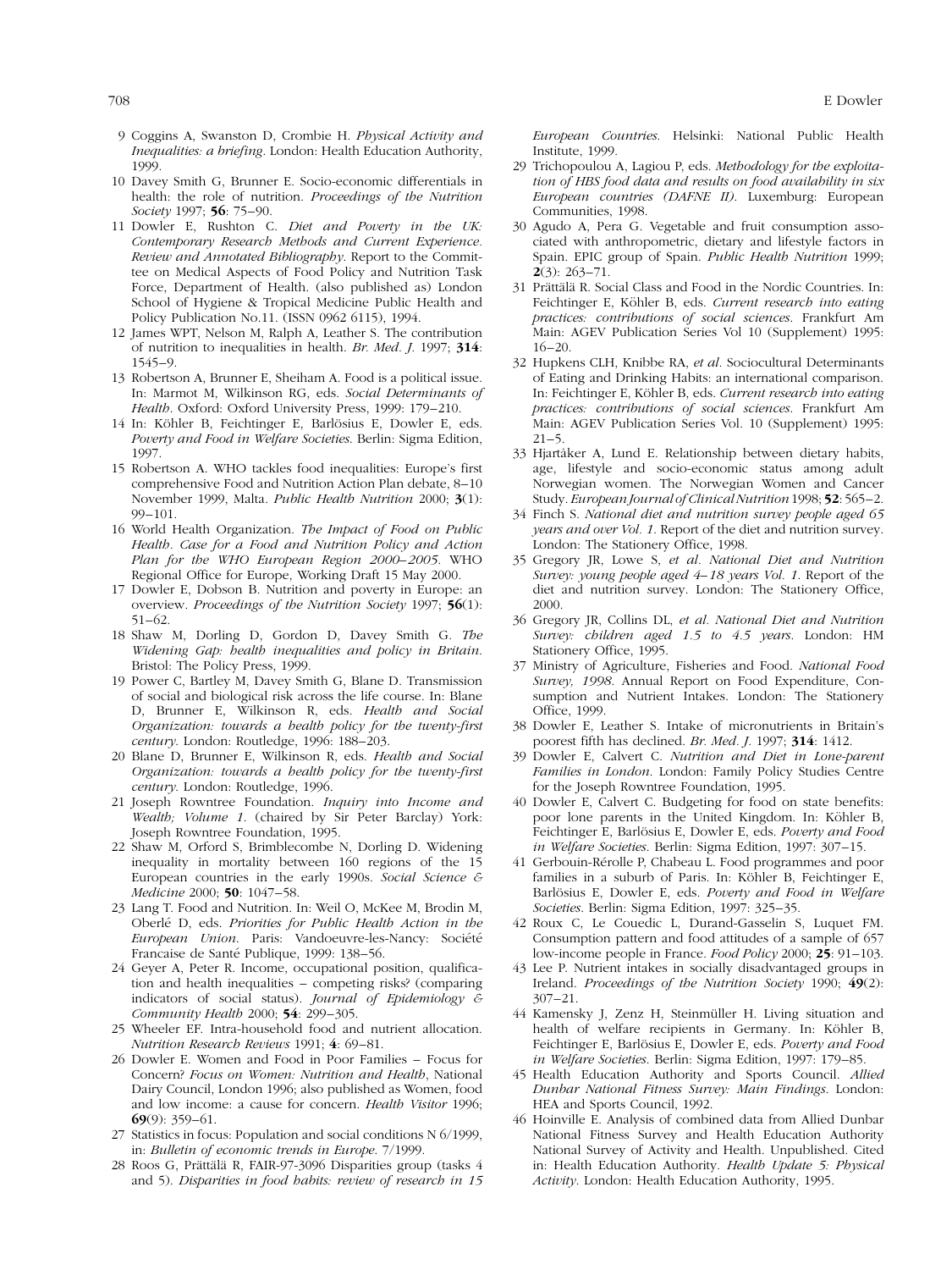- 9 Coggins A, Swanston D, Crombie H. Physical Activity and Inequalities: a briefing. London: Health Education Authority, 1999.
- 10 Davey Smith G, Brunner E. Socio-economic differentials in health: the role of nutrition. Proceedings of the Nutrition Society 1997; 56: 75-90.
- 11 Dowler E, Rushton C. Diet and Poverty in the UK: Contemporary Research Methods and Current Experience. Review and Annotated Bibliography. Report to the Committee on Medical Aspects of Food Policy and Nutrition Task Force, Department of Health. (also published as) London School of Hygiene & Tropical Medicine Public Health and Policy Publication No.11. (ISSN 0962 6115), 1994.
- 12 James WPT, Nelson M, Ralph A, Leather S. The contribution of nutrition to inequalities in health. Br. Med. J. 1997; 314: 1545±9.
- 13 Robertson A, Brunner E, Sheiham A. Food is a political issue. In: Marmot M, Wilkinson RG, eds. Social Determinants of Health. Oxford: Oxford University Press, 1999: 179-210.
- 14 In: Köhler B, Feichtinger E, Barlösius E, Dowler E, eds. Poverty and Food in Welfare Societies. Berlin: Sigma Edition, 1997.
- 15 Robertson A. WHO tackles food inequalities: Europe's first comprehensive Food and Nutrition Action Plan debate, 8-10 November 1999, Malta. Public Health Nutrition 2000; 3(1): 99±101.
- 16 World Health Organization. The Impact of Food on Public Health. Case for a Food and Nutrition Policy and Action Plan for the WHO European Region 2000-2005. WHO Regional Office for Europe, Working Draft 15 May 2000.
- 17 Dowler E, Dobson B. Nutrition and poverty in Europe: an overview. Proceedings of the Nutrition Society 1997; 56(1):  $51-62.$
- 18 Shaw M, Dorling D, Gordon D, Davey Smith G. The Widening Gap: health inequalities and policy in Britain. Bristol: The Policy Press, 1999.
- 19 Power C, Bartley M, Davey Smith G, Blane D. Transmission of social and biological risk across the life course. In: Blane D, Brunner E, Wilkinson R, eds. Health and Social Organization: towards a health policy for the twenty-first century. London: Routledge, 1996: 188-203.
- 20 Blane D, Brunner E, Wilkinson R, eds. Health and Social Organization: towards a health policy for the twenty-first century. London: Routledge, 1996.
- 21 Joseph Rowntree Foundation. Inquiry into Income and Wealth; Volume 1. (chaired by Sir Peter Barclay) York: Joseph Rowntree Foundation, 1995.
- 22 Shaw M, Orford S, Brimblecombe N, Dorling D. Widening inequality in mortality between 160 regions of the 15 European countries in the early 1990s. Social Science & Medicine 2000; 50: 1047-58.
- 23 Lang T. Food and Nutrition. In: Weil O, McKee M, Brodin M, Oberlé D, eds. Priorities for Public Health Action in the European Union. Paris: Vandoeuvre-les-Nancy: Société Francaise de Santé Publique, 1999: 138-56.
- 24 Geyer A, Peter R. Income, occupational position, qualification and health inequalities - competing risks? (comparing indicators of social status). Journal of Epidemiology  $\epsilon$ Community Health 2000; 54: 299-305.
- 25 Wheeler EF. Intra-household food and nutrient allocation. Nutrition Research Reviews 1991; 4: 69-81.
- 26 Dowler E. Women and Food in Poor Families = Focus for Concern? Focus on Women: Nutrition and Health, National Dairy Council, London 1996; also published as Women, food and low income: a cause for concern. Health Visitor 1996;  $69(9)$ : 359-61.
- 27 Statistics in focus: Population and social conditions N 6/1999, in: Bulletin of economic trends in Europe. 7/1999.
- 28 Roos G, Prättälä R, FAIR-97-3096 Disparities group (tasks 4 and 5). Disparities in food habits: review of research in 15

European Countries. Helsinki: National Public Health Institute, 1999.

- 29 Trichopoulou A, Lagiou P, eds. Methodology for the exploitation of HBS food data and results on food availability in six European countries (DAFNE II). Luxemburg: European Communities, 1998.
- 30 Agudo A, Pera G. Vegetable and fruit consumption associated with anthropometric, dietary and lifestyle factors in Spain. EPIC group of Spain. Public Health Nutrition 1999;  $2(3) \cdot 263 - 71$
- 31 Prättälä R. Social Class and Food in the Nordic Countries. In: Feichtinger E, Köhler B, eds. Current research into eating practices: contributions of social sciences. Frankfurt Am Main: AGEV Publication Series Vol 10 (Supplement) 1995:  $16 - 20.$
- 32 Hupkens CLH, Knibbe RA, et al. Sociocultural Determinants of Eating and Drinking Habits: an international comparison. In: Feichtinger E, Köhler B, eds. Current research into eating practices: contributions of social sciences. Frankfurt Am Main: AGEV Publication Series Vol. 10 (Supplement) 1995:  $21 - 5$ .
- 33 Hjartåker A, Lund E. Relationship between dietary habits, age, lifestyle and socio-economic status among adult Norwegian women. The Norwegian Women and Cancer Study. European Journal of Clinical Nutrition 1998; 52: 565-2.
- 34 Finch S. National diet and nutrition survey people aged 65 years and over Vol. 1. Report of the diet and nutrition survey. London: The Stationery Office, 1998.
- 35 Gregory JR, Lowe S, et al. National Diet and Nutrition Survey: young people aged  $4-18$  years Vol. 1. Report of the diet and nutrition survey. London: The Stationery Office, 2000.
- 36 Gregory JR, Collins DL, et al. National Diet and Nutrition Survey: children aged 1.5 to 4.5 years. London: HM Stationery Office, 1995.
- 37 Ministry of Agriculture, Fisheries and Food. National Food Survey, 1998. Annual Report on Food Expenditure, Consumption and Nutrient Intakes. London: The Stationery Office, 1999.
- 38 Dowler E, Leather S. Intake of micronutrients in Britain's poorest fifth has declined. Br. Med. J. 1997; 314: 1412.
- 39 Dowler E, Calvert C. Nutrition and Diet in Lone-parent Families in London. London: Family Policy Studies Centre for the Joseph Rowntree Foundation, 1995.
- 40 Dowler E, Calvert C. Budgeting for food on state benefits: poor lone parents in the United Kingdom. In: Köhler B, Feichtinger E, Barlösius E, Dowler E, eds. Poverty and Food in Welfare Societies. Berlin: Sigma Edition, 1997: 307-15.
- 41 Gerbouin-Rérolle P, Chabeau L. Food programmes and poor families in a suburb of Paris. In: Köhler B, Feichtinger E, Barlösius E, Dowler E, eds. Poverty and Food in Welfare Societies. Berlin: Sigma Edition, 1997: 325-35.
- 42 Roux C, Le Couedic L, Durand-Gasselin S, Luquet FM. Consumption pattern and food attitudes of a sample of 657 low-income people in France. Food Policy 2000; 25: 91-103.
- 43 Lee P. Nutrient intakes in socially disadvantaged groups in Ireland. Proceedings of the Nutrition Society 1990; 49(2): 307±21.
- 44 Kamensky J, Zenz H, Steinmüller H. Living situation and health of welfare recipients in Germany. In: Köhler B, Feichtinger E, Barlösius E, Dowler E, eds. Poverty and Food in Welfare Societies. Berlin: Sigma Edition, 1997: 179-85.
- 45 Health Education Authority and Sports Council. Allied Dunbar National Fitness Survey: Main Findings. London: HEA and Sports Council, 1992.
- 46 Hoinville E. Analysis of combined data from Allied Dunbar National Fitness Survey and Health Education Authority National Survey of Activity and Health. Unpublished. Cited in: Health Education Authority. Health Update 5: Physical Activity. London: Health Education Authority, 1995.